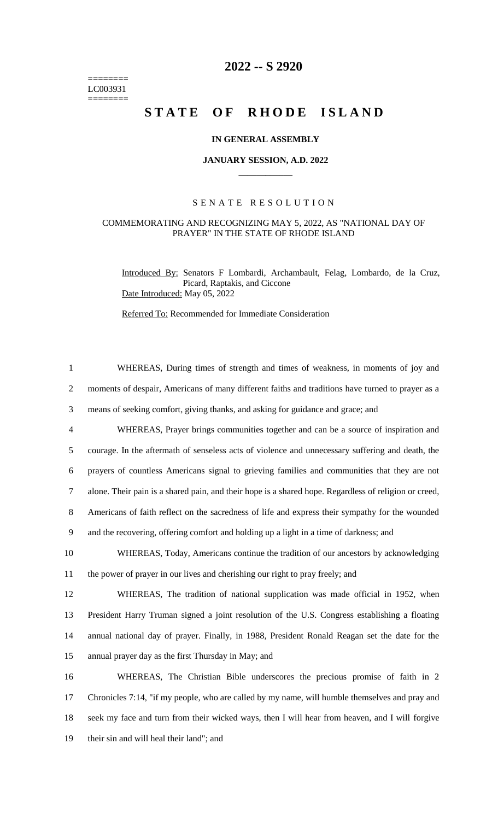======== LC003931  $=$ 

## **2022 -- S 2920**

# STATE OF RHODE ISLAND

#### **IN GENERAL ASSEMBLY**

#### **JANUARY SESSION, A.D. 2022 \_\_\_\_\_\_\_\_\_\_\_\_**

#### S E N A T E R E S O L U T I O N

### COMMEMORATING AND RECOGNIZING MAY 5, 2022, AS "NATIONAL DAY OF PRAYER" IN THE STATE OF RHODE ISLAND

Introduced By: Senators F Lombardi, Archambault, Felag, Lombardo, de la Cruz, Picard, Raptakis, and Ciccone Date Introduced: May 05, 2022

Referred To: Recommended for Immediate Consideration

| $\mathbf{1}$   | WHEREAS, During times of strength and times of weakness, in moments of joy and                        |
|----------------|-------------------------------------------------------------------------------------------------------|
| 2              | moments of despair, Americans of many different faiths and traditions have turned to prayer as a      |
| 3              | means of seeking comfort, giving thanks, and asking for guidance and grace; and                       |
| $\overline{4}$ | WHEREAS, Prayer brings communities together and can be a source of inspiration and                    |
| 5              | courage. In the aftermath of senseless acts of violence and unnecessary suffering and death, the      |
| 6              | prayers of countless Americans signal to grieving families and communities that they are not          |
| $\tau$         | alone. Their pain is a shared pain, and their hope is a shared hope. Regardless of religion or creed, |
| 8              | Americans of faith reflect on the sacredness of life and express their sympathy for the wounded       |
| 9              | and the recovering, offering comfort and holding up a light in a time of darkness; and                |
| 10             | WHEREAS, Today, Americans continue the tradition of our ancestors by acknowledging                    |
| 11             | the power of prayer in our lives and cherishing our right to pray freely; and                         |
| 12             | WHEREAS, The tradition of national supplication was made official in 1952, when                       |
| 13             | President Harry Truman signed a joint resolution of the U.S. Congress establishing a floating         |
| 14             | annual national day of prayer. Finally, in 1988, President Ronald Reagan set the date for the         |
| 15             | annual prayer day as the first Thursday in May; and                                                   |
| 16             | WHEREAS, The Christian Bible underscores the precious promise of faith in 2                           |
| 17             | Chronicles 7:14, "if my people, who are called by my name, will humble themselves and pray and        |
| 18             | seek my face and turn from their wicked ways, then I will hear from heaven, and I will forgive        |
| 19             | their sin and will heal their land"; and                                                              |